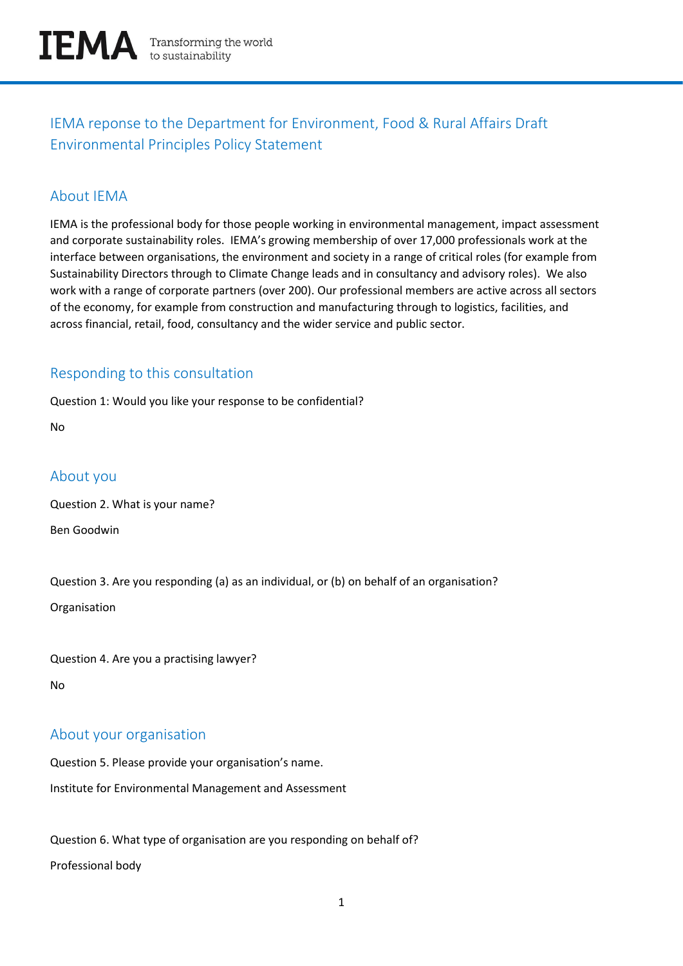

IEMA reponse to the Department for Environment, Food & Rural Affairs Draft Environmental Principles Policy Statement

## About IEMA

IEMA is the professional body for those people working in environmental management, impact assessment and corporate sustainability roles. IEMA's growing membership of over 17,000 professionals work at the interface between organisations, the environment and society in a range of critical roles (for example from Sustainability Directors through to Climate Change leads and in consultancy and advisory roles). We also work with a range of corporate partners (over 200). Our professional members are active across all sectors of the economy, for example from construction and manufacturing through to logistics, facilities, and across financial, retail, food, consultancy and the wider service and public sector.

## Responding to this consultation

Question 1: Would you like your response to be confidential?

No

## About you

Question 2. What is your name?

Ben Goodwin

Question 3. Are you responding (a) as an individual, or (b) on behalf of an organisation?

Organisation

Question 4. Are you a practising lawyer?

No

# About your organisation

Question 5. Please provide your organisation's name.

Institute for Environmental Management and Assessment

Question 6. What type of organisation are you responding on behalf of? Professional body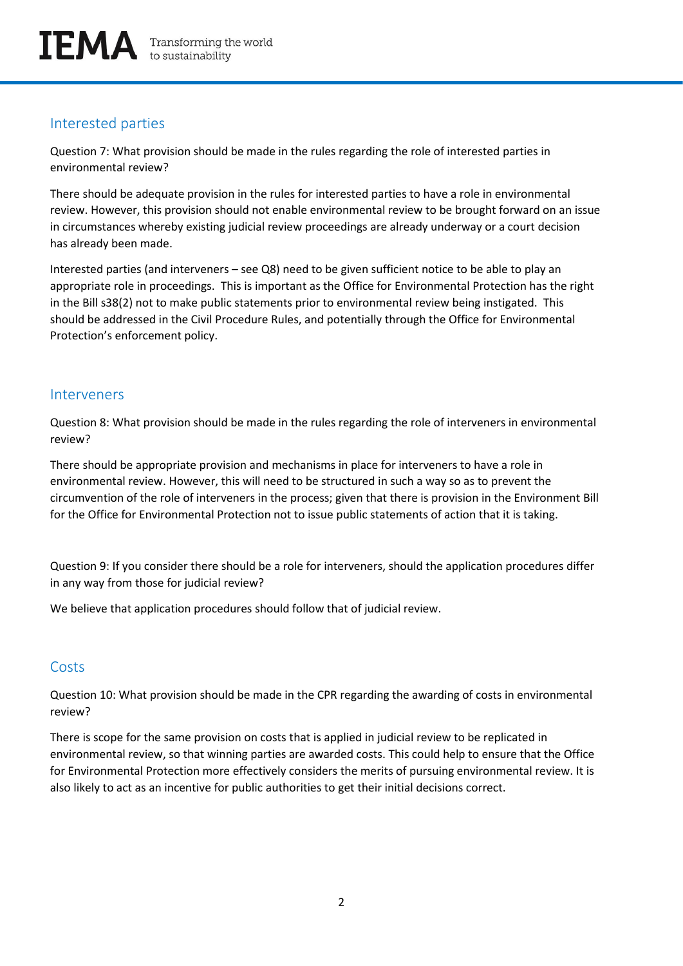# Interested parties

Question 7: What provision should be made in the rules regarding the role of interested parties in environmental review?

There should be adequate provision in the rules for interested parties to have a role in environmental review. However, this provision should not enable environmental review to be brought forward on an issue in circumstances whereby existing judicial review proceedings are already underway or a court decision has already been made.

Interested parties (and interveners – see Q8) need to be given sufficient notice to be able to play an appropriate role in proceedings. This is important as the Office for Environmental Protection has the right in the Bill s38(2) not to make public statements prior to environmental review being instigated. This should be addressed in the Civil Procedure Rules, and potentially through the Office for Environmental Protection's enforcement policy.

#### Interveners

Question 8: What provision should be made in the rules regarding the role of interveners in environmental review?

There should be appropriate provision and mechanisms in place for interveners to have a role in environmental review. However, this will need to be structured in such a way so as to prevent the circumvention of the role of interveners in the process; given that there is provision in the Environment Bill for the Office for Environmental Protection not to issue public statements of action that it is taking.

Question 9: If you consider there should be a role for interveners, should the application procedures differ in any way from those for judicial review?

We believe that application procedures should follow that of judicial review.

# **Costs**

Question 10: What provision should be made in the CPR regarding the awarding of costs in environmental review?

There is scope for the same provision on costs that is applied in judicial review to be replicated in environmental review, so that winning parties are awarded costs. This could help to ensure that the Office for Environmental Protection more effectively considers the merits of pursuing environmental review. It is also likely to act as an incentive for public authorities to get their initial decisions correct.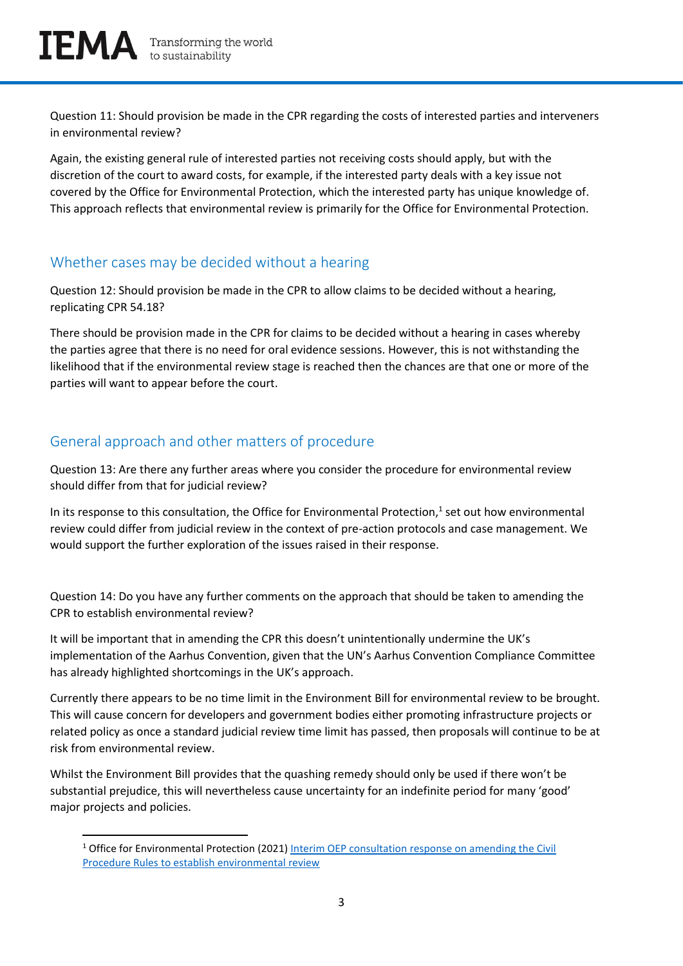Question 11: Should provision be made in the CPR regarding the costs of interested parties and interveners in environmental review?

Again, the existing general rule of interested parties not receiving costs should apply, but with the discretion of the court to award costs, for example, if the interested party deals with a key issue not covered by the Office for Environmental Protection, which the interested party has unique knowledge of. This approach reflects that environmental review is primarily for the Office for Environmental Protection.

# Whether cases may be decided without a hearing

Question 12: Should provision be made in the CPR to allow claims to be decided without a hearing, replicating CPR 54.18?

There should be provision made in the CPR for claims to be decided without a hearing in cases whereby the parties agree that there is no need for oral evidence sessions. However, this is not withstanding the likelihood that if the environmental review stage is reached then the chances are that one or more of the parties will want to appear before the court.

# General approach and other matters of procedure

Question 13: Are there any further areas where you consider the procedure for environmental review should differ from that for judicial review?

In its response to this consultation, the Office for Environmental Protection, $<sup>1</sup>$  set out how environmental</sup> review could differ from judicial review in the context of pre-action protocols and case management. We would support the further exploration of the issues raised in their response.

Question 14: Do you have any further comments on the approach that should be taken to amending the CPR to establish environmental review?

It will be important that in amending the CPR this doesn't unintentionally undermine the UK's implementation of the Aarhus Convention, given that the UN's Aarhus Convention Compliance Committee has already highlighted shortcomings in the UK's approach.

Currently there appears to be no time limit in the Environment Bill for environmental review to be brought. This will cause concern for developers and government bodies either promoting infrastructure projects or related policy as once a standard judicial review time limit has passed, then proposals will continue to be at risk from environmental review.

Whilst the Environment Bill provides that the quashing remedy should only be used if there won't be substantial prejudice, this will nevertheless cause uncertainty for an indefinite period for many 'good' major projects and policies.

<sup>&</sup>lt;sup>1</sup> Office for Environmental Protection (2021) Interim OEP consultation response on amending the Civil [Procedure Rules to establish environmental review](https://www.theoep.org.uk/report/interim-oep-consultation-response-amending-civil-procedure-rules-establish-environmental)